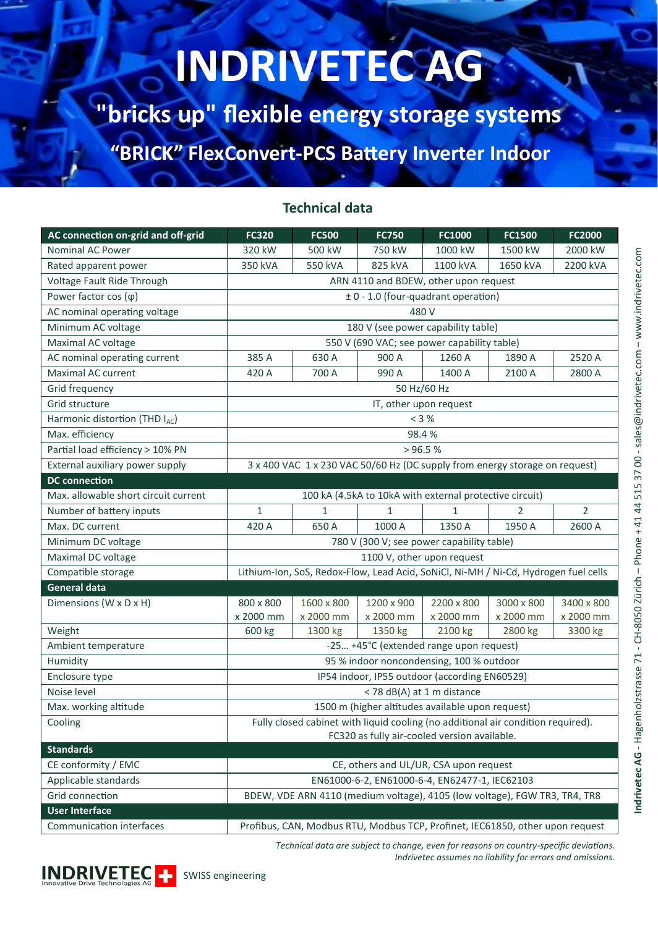# **INDRIVETEC AG**

**"bricks up" flexible energy storage systems**

**"BRICK" FlexConvert-PCS Battery Inverter Indoor**

#### **Technical data**

| AC connection on-grid and off-grid      | <b>FC320</b>                                                                            | <b>FC500</b> | <b>FC750</b> | FC1000       | FC1500           | FC2000         |  |  |  |  |
|-----------------------------------------|-----------------------------------------------------------------------------------------|--------------|--------------|--------------|------------------|----------------|--|--|--|--|
| <b>Nominal AC Power</b>                 | 320 kW                                                                                  | 500 kW       | 750 kW       | 1000 kW      | 1500 kW          | 2000 kW        |  |  |  |  |
| Rated apparent power                    | 350 kVA                                                                                 | 550 kVA      | 825 kVA      | 1100 kVA     | 1650 kVA         | 2200 kVA       |  |  |  |  |
| Voltage Fault Ride Through              | ARN 4110 and BDEW, other upon request                                                   |              |              |              |                  |                |  |  |  |  |
| Power factor $cos(\varphi)$             | ± 0 - 1.0 (four-quadrant operation)                                                     |              |              |              |                  |                |  |  |  |  |
| AC nominal operating voltage            | 480 V                                                                                   |              |              |              |                  |                |  |  |  |  |
| Minimum AC voltage                      | 180 V (see power capability table)                                                      |              |              |              |                  |                |  |  |  |  |
| Maximal AC voltage                      | 550 V (690 VAC; see power capability table)                                             |              |              |              |                  |                |  |  |  |  |
| AC nominal operating current            | 385 A                                                                                   | 630 A        | 900 A        | 1260 A       | 1890 A           | 2520 A         |  |  |  |  |
| Maximal AC current                      | 420 A                                                                                   | 700 A        | 990 A        | 1400 A       | 2100 A<br>2800 A |                |  |  |  |  |
| Grid frequency                          | 50 Hz/60 Hz                                                                             |              |              |              |                  |                |  |  |  |  |
| Grid structure                          | IT, other upon request                                                                  |              |              |              |                  |                |  |  |  |  |
| Harmonic distortion (THD IAC)           | < 3 %                                                                                   |              |              |              |                  |                |  |  |  |  |
| Max. efficiency                         | 98.4%                                                                                   |              |              |              |                  |                |  |  |  |  |
| Partial load efficiency > 10% PN        | > 96.5 %                                                                                |              |              |              |                  |                |  |  |  |  |
| External auxiliary power supply         | 3 x 400 VAC 1 x 230 VAC 50/60 Hz (DC supply from energy storage on request)             |              |              |              |                  |                |  |  |  |  |
| <b>DC</b> connection                    |                                                                                         |              |              |              |                  |                |  |  |  |  |
| Max. allowable short circuit current    | 100 kA (4.5kA to 10kA with external protective circuit)                                 |              |              |              |                  |                |  |  |  |  |
| Number of battery inputs                | 1                                                                                       | $\mathbf{1}$ | $\mathbf{1}$ | $\mathbf{1}$ | 2                | $\overline{2}$ |  |  |  |  |
| Max. DC current                         | 420 A                                                                                   | 650 A        | 1000 A       | 1350 A       | 1950 A           | 2600 A         |  |  |  |  |
| Minimum DC voltage                      | 780 V (300 V; see power capability table)                                               |              |              |              |                  |                |  |  |  |  |
| Maximal DC voltage                      | 1100 V, other upon request                                                              |              |              |              |                  |                |  |  |  |  |
| Compatible storage                      | Lithium-Ion, SoS, Redox-Flow, Lead Acid, SoNiCl, Ni-MH / Ni-Cd, Hydrogen fuel cells     |              |              |              |                  |                |  |  |  |  |
| <b>General data</b>                     |                                                                                         |              |              |              |                  |                |  |  |  |  |
| Dimensions (W x D x H)                  | 800 x 800                                                                               | 1600 x 800   | 1200 x 900   | 2200 x 800   | 3000 x 800       | 3400 x 800     |  |  |  |  |
|                                         | x 2000 mm                                                                               | x 2000 mm    | x 2000 mm    | x 2000 mm    | x 2000 mm        | x 2000 mm      |  |  |  |  |
| Weight                                  | 600 kg                                                                                  | 1300 kg      | 1350 kg      | 2100 kg      | 2800 kg          | 3300 kg        |  |  |  |  |
| Ambient temperature                     | -25 +45°C (extended range upon request)                                                 |              |              |              |                  |                |  |  |  |  |
| Humidity                                | 95 % indoor noncondensing, 100 % outdoor                                                |              |              |              |                  |                |  |  |  |  |
| Enclosure type                          | IP54 indoor, IP55 outdoor (according EN60529)                                           |              |              |              |                  |                |  |  |  |  |
| Noise level                             | < 78 dB(A) at 1 m distance                                                              |              |              |              |                  |                |  |  |  |  |
| Max. working altitude                   | 1500 m (higher altitudes available upon request)                                        |              |              |              |                  |                |  |  |  |  |
| Cooling                                 | Fully closed cabinet with liquid cooling (no additional air condition required).        |              |              |              |                  |                |  |  |  |  |
| <b>Standards</b>                        | FC320 as fully air-cooled version available.                                            |              |              |              |                  |                |  |  |  |  |
| CE conformity / EMC                     |                                                                                         |              |              |              |                  |                |  |  |  |  |
|                                         | CE, others and UL/UR, CSA upon request<br>EN61000-6-2, EN61000-6-4, EN62477-1, IEC62103 |              |              |              |                  |                |  |  |  |  |
| Applicable standards<br>Grid connection | BDEW, VDE ARN 4110 (medium voltage), 4105 (low voltage), FGW TR3, TR4, TR8              |              |              |              |                  |                |  |  |  |  |
| <b>User Interface</b>                   |                                                                                         |              |              |              |                  |                |  |  |  |  |
|                                         | Profibus, CAN, Modbus RTU, Modbus TCP, Profinet, IEC61850, other upon request           |              |              |              |                  |                |  |  |  |  |
| Communication interfaces                |                                                                                         |              |              |              |                  |                |  |  |  |  |

*Technical data are subject to change, even for reasons on country-specific deviations. Indrivetec assumes no liability for errors and omissions.*